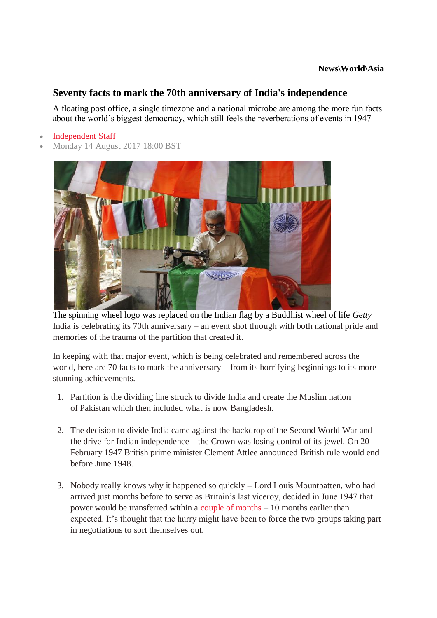## **Seventy facts to mark the 70th anniversary of India's independence**

A floating post office, a single timezone and a national microbe are among the more fun facts about the world's biggest democracy, which still feels the reverberations of events in 1947

- [Independent Staff](http://www.independent.co.uk/author/independent-staff)
- Monday 14 August 2017 18:00 BST



The spinning wheel logo was replaced on the Indian flag by a Buddhist wheel of life *Getty* India is celebrating its 70th anniversary – an event shot through with both national pride and memories of the trauma of the partition that created it.

In keeping with that major event, which is being celebrated and remembered across the world, here are 70 facts to mark the anniversary – from its horrifying beginnings to its more stunning achievements.

- 1. Partition is the dividing line struck to divide India and create the Muslim nation of Pakistan which then included what is now Bangladesh.
- 2. The decision to divide India came against the backdrop of the Second World War and the drive for Indian independence – the Crown was losing control of its jewel. On 20 February 1947 British prime minister Clement Attlee announced British rule would end before June 1948.
- 3. Nobody really knows why it happened so quickly Lord Louis Mountbatten, who had arrived just months before to serve as Britain's last viceroy, decided in June 1947 that power would be transferred within a [couple of months](https://www.youtube.com/watch?v=QSM3vXDEIPk) – 10 months earlier than expected. It's thought that the hurry might have been to force the two groups taking part in negotiations to sort themselves out.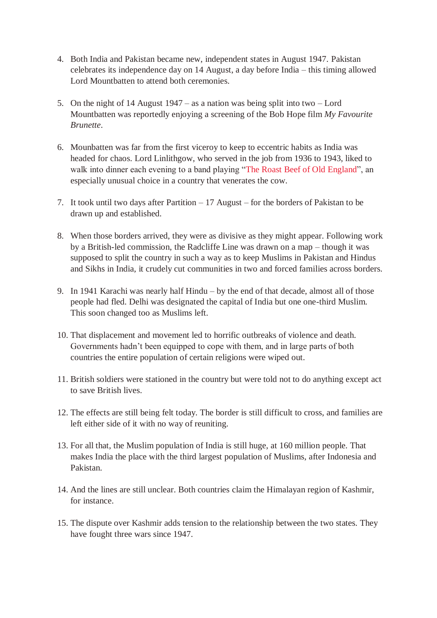- 4. Both India and Pakistan became new, independent states in August 1947. Pakistan celebrates its independence day on 14 August, a day before India – this timing allowed Lord Mountbatten to attend both ceremonies.
- 5. On the night of 14 August 1947 as a nation was being split into two Lord Mountbatten was reportedly enjoying a screening of the Bob Hope film *My Favourite Brunette*.
- 6. Mounbatten was far from the first viceroy to keep to eccentric habits as India was headed for chaos. Lord Linlithgow, who served in the job from 1936 to 1943, liked to walk into dinner each evening to a band playing ["The Roast Beef of Old](https://www.youtube.com/watch?v=KnVYxb5XHzI) England", an especially unusual choice in a country that venerates the cow.
- 7. It took until two days after Partition 17 August for the borders of Pakistan to be drawn up and established.
- 8. When those borders arrived, they were as divisive as they might appear. Following work by a British-led commission, the Radcliffe Line was drawn on a map – though it was supposed to split the country in such a way as to keep Muslims in Pakistan and Hindus and Sikhs in India, it crudely cut communities in two and forced families across borders.
- 9. In 1941 Karachi was nearly half Hindu by the end of that decade, almost all of those people had fled. Delhi was designated the capital of India but one one-third Muslim. This soon changed too as Muslims left.
- 10. That displacement and movement led to horrific outbreaks of violence and death. Governments hadn't been equipped to cope with them, and in large parts of both countries the entire population of certain religions were wiped out.
- 11. British soldiers were stationed in the country but were told not to do anything except act to save British lives.
- 12. The effects are still being felt today. The border is still difficult to cross, and families are left either side of it with no way of reuniting.
- 13. For all that, the Muslim population of India is still huge, at 160 million people. That makes India the place with the third largest population of Muslims, after Indonesia and Pakistan.
- 14. And the lines are still unclear. Both countries claim the Himalayan region of Kashmir, for instance.
- 15. The dispute over Kashmir adds tension to the relationship between the two states. They have fought three wars since 1947.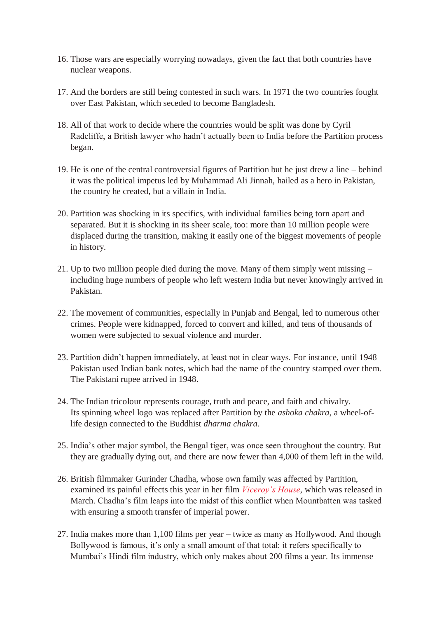- 16. Those wars are especially worrying nowadays, given the fact that both countries have nuclear weapons.
- 17. And the borders are still being contested in such wars. In 1971 the two countries fought over East Pakistan, which seceded to become Bangladesh.
- 18. All of that work to decide where the countries would be split was done by Cyril Radcliffe, a British lawyer who hadn't actually been to India before the Partition process began.
- 19. He is one of the central controversial figures of Partition but he just drew a line behind it was the political impetus led by Muhammad Ali Jinnah, hailed as a hero in Pakistan, the country he created, but a villain in India.
- 20. Partition was shocking in its specifics, with individual families being torn apart and separated. But it is shocking in its sheer scale, too: more than 10 million people were displaced during the transition, making it easily one of the biggest movements of people in history.
- 21. Up to two million people died during the move. Many of them simply went missing including huge numbers of people who left western India but never knowingly arrived in Pakistan.
- 22. The movement of communities, especially in Punjab and Bengal, led to numerous other crimes. People were kidnapped, forced to convert and killed, and tens of thousands of women were subjected to sexual violence and murder.
- 23. Partition didn't happen immediately, at least not in clear ways. For instance, until 1948 Pakistan used Indian bank notes, which had the name of the country stamped over them. The Pakistani rupee arrived in 1948.
- 24. The Indian tricolour represents courage, truth and peace, and faith and chivalry. Its spinning wheel logo was replaced after Partition by the *ashoka chakra*, a wheel-oflife design connected to the Buddhist *dharma chakra*.
- 25. India's other major symbol, the Bengal tiger, was once seen throughout the country. But they are gradually dying out, and there are now fewer than 4,000 of them left in the wild.
- 26. British filmmaker Gurinder Chadha, whose own family was affected by Partition, examined its painful effects this year in her film *[Viceroy's House](http://www.independent.co.uk/arts-entertainment/films/reviews/film-reviews-round-up-viceroys-house-certain-women-trespass-against-us-fist-fight-a7605246.html)*, which was released in March. Chadha's film leaps into the midst of this conflict when Mountbatten was tasked with ensuring a smooth transfer of imperial power.
- 27. India makes more than 1,100 films per year twice as many as Hollywood. And though Bollywood is famous, it's only a small amount of that total: it refers specifically to Mumbai's Hindi film industry, which only makes about 200 films a year. Its immense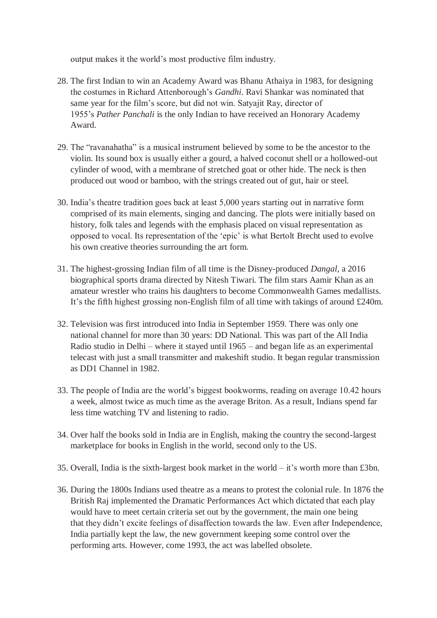output makes it the world's most productive film industry.

- 28. The first Indian to win an Academy Award was Bhanu Athaiya in 1983, for designing the costumes in Richard Attenborough's *Gandhi*. Ravi Shankar was nominated that same year for the film's score, but did not win. Satyajit Ray, director of 1955's *Pather Panchali* is the only Indian to have received an Honorary Academy Award.
- 29. The "ravanahatha" is a musical instrument believed by some to be the ancestor to the violin. Its sound box is usually either a gourd, a halved coconut shell or a hollowed-out cylinder of wood, with a membrane of stretched goat or other hide. The neck is then produced out wood or bamboo, with the strings created out of gut, hair or steel.
- 30. India's theatre tradition goes back at least 5,000 years starting out in narrative form comprised of its main elements, singing and dancing. The plots were initially based on history, folk tales and legends with the emphasis placed on visual representation as opposed to vocal. Its representation of the 'epic' is what Bertolt Brecht used to evolve his own creative theories surrounding the art form.
- 31. The highest-grossing Indian film of all time is the Disney-produced *Dangal*, a 2016 biographical sports drama directed by Nitesh Tiwari. The film stars Aamir Khan as an amateur wrestler who trains his daughters to become Commonwealth Games medallists. It's the fifth highest grossing non-English film of all time with takings of around £240m.
- 32. Television was first introduced into India in September 1959. There was only one national channel for more than 30 years: DD National. This was part of the All India Radio studio in Delhi – where it stayed until 1965 – and began life as an experimental telecast with just a small transmitter and makeshift studio. It began regular transmission as DD1 Channel in 1982.
- 33. The people of India are the world's biggest bookworms, reading on average 10.42 hours a week, almost twice as much time as the average Briton. As a result, Indians spend far less time watching TV and listening to radio.
- 34. Over half the books sold in India are in English, making the country the second-largest marketplace for books in English in the world, second only to the US.
- 35. Overall, India is the sixth-largest book market in the world it's worth more than £3bn.
- 36. During the 1800s Indians used theatre as a means to protest the colonial rule. In 1876 the British Raj implemented the Dramatic Performances Act which dictated that each play would have to meet certain criteria set out by the government, the main one being that they didn't excite feelings of disaffection towards the law. Even after Independence, India partially kept the law, the new government keeping some control over the performing arts. However, come 1993, the act was labelled obsolete.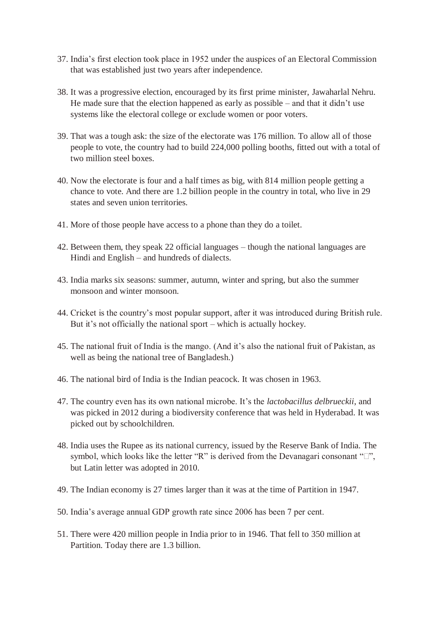- 37. India's first election took place in 1952 under the auspices of an Electoral Commission that was established just two years after independence.
- 38. It was a progressive election, encouraged by its first prime minister, Jawaharlal Nehru. He made sure that the election happened as early as possible – and that it didn't use systems like the electoral college or exclude women or poor voters.
- 39. That was a tough ask: the size of the electorate was 176 million. To allow all of those people to vote, the country had to build 224,000 polling booths, fitted out with a total of two million steel boxes.
- 40. Now the electorate is four and a half times as big, with 814 million people getting a chance to vote. And there are 1.2 billion people in the country in total, who live in 29 states and seven union territories.
- 41. More of those people have access to a phone than they do a toilet.
- 42. Between them, they speak 22 official languages though the national languages are Hindi and English – and hundreds of dialects.
- 43. India marks six seasons: summer, autumn, winter and spring, but also the summer monsoon and winter monsoon.
- 44. Cricket is the country's most popular support, after it was introduced during British rule. But it's not officially the national sport – which is actually hockey.
- 45. The national fruit of India is the mango. (And it's also the national fruit of Pakistan, as well as being the national tree of Bangladesh.)
- 46. The national bird of India is the Indian peacock. It was chosen in 1963.
- 47. The country even has its own national microbe. It's the *lactobacillus delbrueckii*, and was picked in 2012 during a biodiversity conference that was held in Hyderabad. It was picked out by schoolchildren.
- 48. India uses the Rupee as its national currency, issued by the Reserve Bank of India. The symbol, which looks like the letter "R" is derived from the Devanagari consonant " $\Box$ ", but Latin letter was adopted in 2010.
- 49. The Indian economy is 27 times larger than it was at the time of Partition in 1947.
- 50. India's average annual GDP growth rate since 2006 has been 7 per cent.
- 51. There were 420 million people in India prior to in 1946. That fell to 350 million at Partition. Today there are 1.3 billion.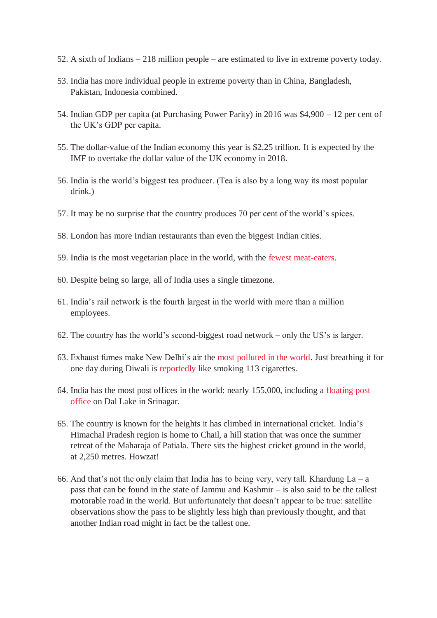- 52. A sixth of Indians 218 million people are estimated to live in extreme poverty today.
- 53. India has more individual people in extreme poverty than in China, Bangladesh, Pakistan, Indonesia combined.
- 54. Indian GDP per capita (at Purchasing Power Parity) in 2016 was \$4,900 12 per cent of the UK's GDP per capita.
- 55. The dollar-value of the Indian economy this year is \$2.25 trillion. It is expected by the IMF to overtake the dollar value of the UK economy in 2018.
- 56. India is the world's biggest tea producer. (Tea is also by a long way its most popular drink.)
- 57. It may be no surprise that the country produces 70 per cent of the world's spices.
- 58. London has more Indian restaurants than even the biggest Indian cities.
- 59. India is the most vegetarian place in the world, with the [fewest meat-eaters.](http://www.huffingtonpost.com/2012/05/03/world-meat-consumption_n_1475760.html)
- 60. Despite being so large, all of India uses a single timezone.
- 61. India's rail network is the fourth largest in the world with more than a million employees.
- 62. The country has the world's second-biggest road network only the US's is larger.
- 63. Exhaust fumes make New Delhi's air the [most polluted in the world.](http://edition.cnn.com/2016/11/07/asia/india-new-delhi-smog-pollution/index.html) Just breathing it for one day during Diwali is [reportedly](http://www.indiatimes.com/health-and-fitness/breathing-the-air-in-mumbai-for-one-day-during-diwali-equivalent-to-113-cigarettes-48639.html) like smoking 113 cigarettes.
- 64. India has the most post offices in the world: nearly 155,000, including a [floating post](http://www.hindustantimes.com/india/floating-on-the-dal-lake-in-srinagar-a-post-office-like-no-other/story-s1Ynj3ZGGNRqvDP9P5CxbJ.html)  [office](http://www.hindustantimes.com/india/floating-on-the-dal-lake-in-srinagar-a-post-office-like-no-other/story-s1Ynj3ZGGNRqvDP9P5CxbJ.html) on Dal Lake in Srinagar.
- 65. The country is known for the heights it has climbed in international cricket. India's Himachal Pradesh region is home to Chail, a hill station that was once the summer retreat of the Maharaja of Patiala. There sits the highest cricket ground in the world, at 2,250 metres. Howzat!
- 66. And that's not the only claim that India has to being very, very tall. Khardung  $La a$ pass that can be found in the state of Jammu and Kashmir – is also said to be the tallest motorable road in the world. But unfortunately that doesn't appear to be true: satellite observations show the pass to be slightly less high than previously thought, and that another Indian road might in fact be the tallest one.